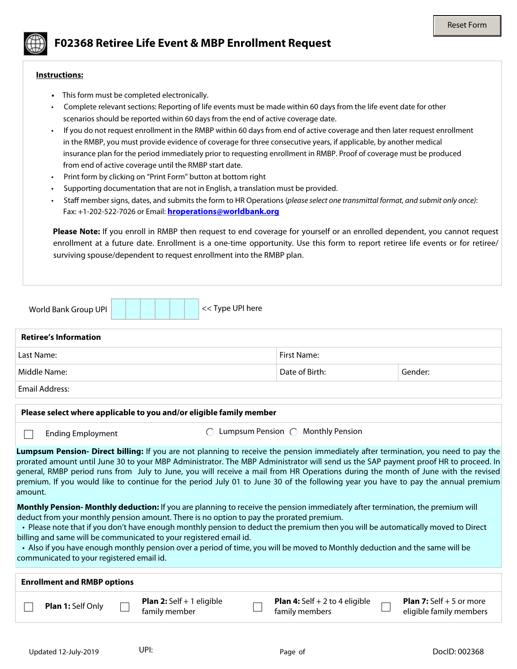

## **F02368 Retiree Life Event & MBP Enrollment Request**

## **Instructions:**

- This form must be completed electronically.
- Complete relevant sections: Reporting of life events must be made within 60 days from the life event date for other scenarios should be reported within 60 days from the end of active coverage date.
- If you do not request enrollment in the RMBP within 60 days from end of active coverage and then later request enrollment in the RMBP, you must provide evidence of coverage for three consecutive years, if applicable, by another medical insurance plan for the period immediately prior to requesting enrollment in RMBP. Proof of coverage must be produced from end of active coverage until the RMBP start date.
- Print form by clicking on "Print Form" button at bottom right
- Supporting documentation that are not in English, a translation must be provided.
- Staff member signs, dates, and submits the form to HR Operations (*please select one transmittal format, and submit only once)*: Fax: +1-202-522-7026 or Email: **[hroperations@worldbank.org](mailto:hroperations@worldbank.org)**

**Please Note:** If you enroll in RMBP then request to end coverage for yourself or an enrolled dependent, you cannot request enrollment at a future date. Enrollment is a one-time opportunity. Use this form to report retiree life events or for retiree/ surviving spouse/dependent to request enrollment into the RMBP plan.

| << Type UPI here<br>World Bank Group UPI                                                                                                                                                                                                                                                                                                                                                                                                                                                                                                                                                                         |                                                           |                                                              |  |  |  |  |  |  |
|------------------------------------------------------------------------------------------------------------------------------------------------------------------------------------------------------------------------------------------------------------------------------------------------------------------------------------------------------------------------------------------------------------------------------------------------------------------------------------------------------------------------------------------------------------------------------------------------------------------|-----------------------------------------------------------|--------------------------------------------------------------|--|--|--|--|--|--|
| <b>Retiree's Information</b>                                                                                                                                                                                                                                                                                                                                                                                                                                                                                                                                                                                     |                                                           |                                                              |  |  |  |  |  |  |
| Last Name:                                                                                                                                                                                                                                                                                                                                                                                                                                                                                                                                                                                                       | First Name:                                               |                                                              |  |  |  |  |  |  |
| Middle Name:                                                                                                                                                                                                                                                                                                                                                                                                                                                                                                                                                                                                     | Date of Birth:                                            | Gender:                                                      |  |  |  |  |  |  |
| <b>Email Address:</b>                                                                                                                                                                                                                                                                                                                                                                                                                                                                                                                                                                                            |                                                           |                                                              |  |  |  |  |  |  |
| Please select where applicable to you and/or eligible family member                                                                                                                                                                                                                                                                                                                                                                                                                                                                                                                                              |                                                           |                                                              |  |  |  |  |  |  |
| Lumpsum Pension $\bigcap$ Monthly Pension<br><b>Ending Employment</b>                                                                                                                                                                                                                                                                                                                                                                                                                                                                                                                                            |                                                           |                                                              |  |  |  |  |  |  |
| Lumpsum Pension- Direct billing: If you are not planning to receive the pension immediately after termination, you need to pay the<br>prorated amount until June 30 to your MBP Administrator. The MBP Administrator will send us the SAP payment proof HR to proceed. In<br>general, RMBP period runs from July to June, you will receive a mail from HR Operations during the month of June with the revised<br>premium. If you would like to continue for the period July 01 to June 30 of the following year you have to pay the annual premium<br>amount.                                                   |                                                           |                                                              |  |  |  |  |  |  |
| Monthly Pension-Monthly deduction: If you are planning to receive the pension immediately after termination, the premium will<br>deduct from your monthly pension amount. There is no option to pay the prorated premium.<br>• Please note that if you don't have enough monthly pension to deduct the premium then you will be automatically moved to Direct<br>billing and same will be communicated to your registered email id.<br>• Also if you have enough monthly pension over a period of time, you will be moved to Monthly deduction and the same will be<br>communicated to your registered email id. |                                                           |                                                              |  |  |  |  |  |  |
| <b>Enrollment and RMBP options</b>                                                                                                                                                                                                                                                                                                                                                                                                                                                                                                                                                                               |                                                           |                                                              |  |  |  |  |  |  |
| <b>Plan 2:</b> Self + 1 eligible<br>Plan 1: Self Only<br>family member                                                                                                                                                                                                                                                                                                                                                                                                                                                                                                                                           | <b>Plan 4:</b> Self $+ 2$ to 4 eligible<br>family members | <b>Plan 7:</b> Self $+ 5$ or more<br>eligible family members |  |  |  |  |  |  |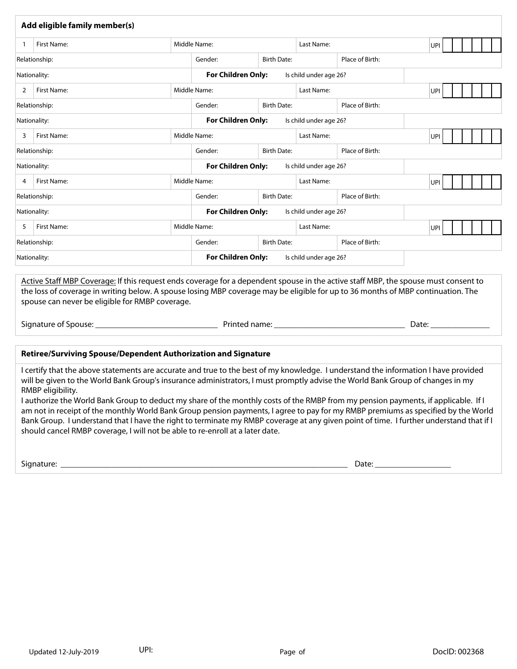|                                                                                                                                                                                                                                                                                                                                                                                                                                                                                                                                                              | Add eligible family member(s)                                                                                                                                                                                                                                                                                                                                                                                                                                                                                                                                                                                                                                                                                                                                                                     |                                                     |                                                     |                                                     |                 |                          |                      |     |  |  |
|--------------------------------------------------------------------------------------------------------------------------------------------------------------------------------------------------------------------------------------------------------------------------------------------------------------------------------------------------------------------------------------------------------------------------------------------------------------------------------------------------------------------------------------------------------------|---------------------------------------------------------------------------------------------------------------------------------------------------------------------------------------------------------------------------------------------------------------------------------------------------------------------------------------------------------------------------------------------------------------------------------------------------------------------------------------------------------------------------------------------------------------------------------------------------------------------------------------------------------------------------------------------------------------------------------------------------------------------------------------------------|-----------------------------------------------------|-----------------------------------------------------|-----------------------------------------------------|-----------------|--------------------------|----------------------|-----|--|--|
| $\mathbf{1}$                                                                                                                                                                                                                                                                                                                                                                                                                                                                                                                                                 | First Name:                                                                                                                                                                                                                                                                                                                                                                                                                                                                                                                                                                                                                                                                                                                                                                                       |                                                     | Middle Name:                                        | Last Name:                                          |                 |                          | UPI                  |     |  |  |
|                                                                                                                                                                                                                                                                                                                                                                                                                                                                                                                                                              | Relationship:                                                                                                                                                                                                                                                                                                                                                                                                                                                                                                                                                                                                                                                                                                                                                                                     |                                                     | <b>Birth Date:</b><br>Gender:                       |                                                     | Place of Birth: |                          |                      |     |  |  |
| Nationality:                                                                                                                                                                                                                                                                                                                                                                                                                                                                                                                                                 |                                                                                                                                                                                                                                                                                                                                                                                                                                                                                                                                                                                                                                                                                                                                                                                                   | <b>For Children Only:</b><br>Is child under age 26? |                                                     |                                                     |                 | $\left  \cdot \right $   |                      |     |  |  |
| 2                                                                                                                                                                                                                                                                                                                                                                                                                                                                                                                                                            | <b>First Name:</b>                                                                                                                                                                                                                                                                                                                                                                                                                                                                                                                                                                                                                                                                                                                                                                                |                                                     | Middle Name:                                        |                                                     | Last Name:      |                          |                      | UPI |  |  |
|                                                                                                                                                                                                                                                                                                                                                                                                                                                                                                                                                              | Relationship:                                                                                                                                                                                                                                                                                                                                                                                                                                                                                                                                                                                                                                                                                                                                                                                     | $\blacktriangledown$                                | $\blacktriangledown$<br>Gender:                     | <b>Birth Date:</b>                                  | Place of Birth: |                          |                      |     |  |  |
|                                                                                                                                                                                                                                                                                                                                                                                                                                                                                                                                                              | Nationality:                                                                                                                                                                                                                                                                                                                                                                                                                                                                                                                                                                                                                                                                                                                                                                                      |                                                     |                                                     | <b>For Children Only:</b><br>Is child under age 26? |                 |                          | $\blacktriangledown$ |     |  |  |
| 3                                                                                                                                                                                                                                                                                                                                                                                                                                                                                                                                                            | First Name:                                                                                                                                                                                                                                                                                                                                                                                                                                                                                                                                                                                                                                                                                                                                                                                       |                                                     | Middle Name:                                        |                                                     | Last Name:      |                          |                      | UPI |  |  |
|                                                                                                                                                                                                                                                                                                                                                                                                                                                                                                                                                              | Relationship:                                                                                                                                                                                                                                                                                                                                                                                                                                                                                                                                                                                                                                                                                                                                                                                     | $\overline{\phantom{a}}$                            | Gender:<br>$\blacktriangledown$                     | <b>Birth Date:</b>                                  |                 | Place of Birth:          |                      |     |  |  |
| Nationality:                                                                                                                                                                                                                                                                                                                                                                                                                                                                                                                                                 |                                                                                                                                                                                                                                                                                                                                                                                                                                                                                                                                                                                                                                                                                                                                                                                                   |                                                     | <b>For Children Only:</b><br>Is child under age 26? |                                                     |                 | $\vert \mathbf{v} \vert$ |                      |     |  |  |
| 4                                                                                                                                                                                                                                                                                                                                                                                                                                                                                                                                                            | First Name:                                                                                                                                                                                                                                                                                                                                                                                                                                                                                                                                                                                                                                                                                                                                                                                       |                                                     | Middle Name:                                        |                                                     | Last Name:      |                          |                      | UPI |  |  |
|                                                                                                                                                                                                                                                                                                                                                                                                                                                                                                                                                              | Relationship:                                                                                                                                                                                                                                                                                                                                                                                                                                                                                                                                                                                                                                                                                                                                                                                     |                                                     | Gender:<br>$\blacktriangledown$                     | <b>Birth Date:</b>                                  |                 | Place of Birth:          |                      |     |  |  |
| $\vert \mathbf{v} \vert$<br><b>For Children Only:</b><br>Is child under age 26?<br>Nationality:                                                                                                                                                                                                                                                                                                                                                                                                                                                              |                                                                                                                                                                                                                                                                                                                                                                                                                                                                                                                                                                                                                                                                                                                                                                                                   |                                                     |                                                     |                                                     |                 |                          |                      |     |  |  |
| 5                                                                                                                                                                                                                                                                                                                                                                                                                                                                                                                                                            | First Name:                                                                                                                                                                                                                                                                                                                                                                                                                                                                                                                                                                                                                                                                                                                                                                                       |                                                     | Middle Name:                                        |                                                     | Last Name:      |                          | UPI                  |     |  |  |
| Relationship:                                                                                                                                                                                                                                                                                                                                                                                                                                                                                                                                                |                                                                                                                                                                                                                                                                                                                                                                                                                                                                                                                                                                                                                                                                                                                                                                                                   | <b>Birth Date:</b><br>Gender:                       |                                                     | Place of Birth:                                     |                 |                          |                      |     |  |  |
| For Children Only:<br>Is child under age 26?<br>Nationality:<br>$\blacktriangledown$                                                                                                                                                                                                                                                                                                                                                                                                                                                                         |                                                                                                                                                                                                                                                                                                                                                                                                                                                                                                                                                                                                                                                                                                                                                                                                   |                                                     |                                                     |                                                     |                 |                          |                      |     |  |  |
| Active Staff MBP Coverage: If this request ends coverage for a dependent spouse in the active staff MBP, the spouse must consent to<br>the loss of coverage in writing below. A spouse losing MBP coverage may be eligible for up to 36 months of MBP continuation. The<br>spouse can never be eligible for RMBP coverage.<br>Date: and the control of the control of the control of the control of the control of the control of the control of the control of the control of the control of the control of the control of the control of the control of th |                                                                                                                                                                                                                                                                                                                                                                                                                                                                                                                                                                                                                                                                                                                                                                                                   |                                                     |                                                     |                                                     |                 |                          |                      |     |  |  |
|                                                                                                                                                                                                                                                                                                                                                                                                                                                                                                                                                              | Retiree/Surviving Spouse/Dependent Authorization and Signature                                                                                                                                                                                                                                                                                                                                                                                                                                                                                                                                                                                                                                                                                                                                    |                                                     |                                                     |                                                     |                 |                          |                      |     |  |  |
|                                                                                                                                                                                                                                                                                                                                                                                                                                                                                                                                                              | I certify that the above statements are accurate and true to the best of my knowledge. I understand the information I have provided<br>will be given to the World Bank Group's insurance administrators, I must promptly advise the World Bank Group of changes in my<br>RMBP eligibility.<br>I authorize the World Bank Group to deduct my share of the monthly costs of the RMBP from my pension payments, if applicable. If I<br>am not in receipt of the monthly World Bank Group pension payments, I agree to pay for my RMBP premiums as specified by the World<br>Bank Group. I understand that I have the right to terminate my RMBP coverage at any given point of time. I further understand that if I<br>should cancel RMBP coverage, I will not be able to re-enroll at a later date. |                                                     |                                                     |                                                     |                 |                          |                      |     |  |  |

Signature: \_\_\_\_\_\_\_\_\_\_\_\_\_\_\_\_\_\_\_\_\_\_\_\_\_\_\_\_\_\_\_\_\_\_\_\_\_\_\_\_\_\_\_\_\_\_\_\_\_\_\_\_\_\_\_\_\_\_\_\_\_\_\_\_\_\_\_\_ Date: \_\_\_\_\_\_\_\_\_\_\_\_\_\_\_\_\_\_